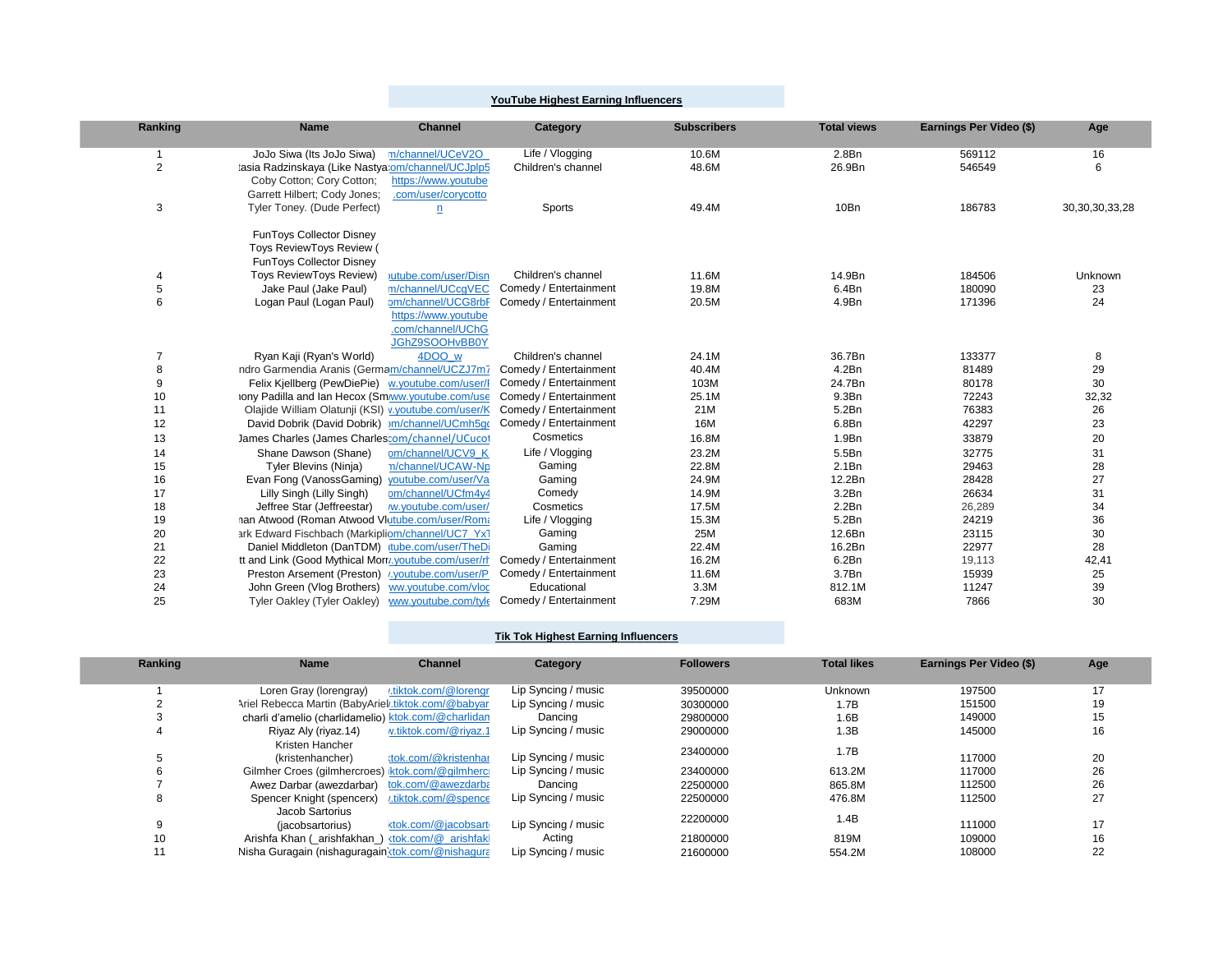## **YouTube Highest Earning Influencers**

p.

| Ranking        | <b>Name</b>                                          | <b>Channel</b>           | Category               | <b>Subscribers</b> | <b>Total views</b> | Earnings Per Video (\$) | Age                |
|----------------|------------------------------------------------------|--------------------------|------------------------|--------------------|--------------------|-------------------------|--------------------|
|                | JoJo Siwa (Its JoJo Siwa)                            | n/channel/UCeV2O         | Life / Vlogging        | 10.6M              | 2.8Bn              | 569112                  | 16                 |
| $\overline{2}$ | tasia Radzinskaya (Like Nastya: om/channel/UCJplp5   |                          | Children's channel     | 48.6M              | 26.9Bn             | 546549                  | 6                  |
|                | Coby Cotton; Cory Cotton;                            | https://www.youtube      |                        |                    |                    |                         |                    |
|                | Garrett Hilbert; Cody Jones;                         | .com/user/corycotto      |                        |                    |                    |                         |                    |
| 3              | Tyler Toney. (Dude Perfect)                          | $\overline{\mathbf{n}}$  | Sports                 | 49.4M              | 10Bn               | 186783                  | 30, 30, 30, 33, 28 |
|                | FunToys Collector Disney                             |                          |                        |                    |                    |                         |                    |
|                | Toys ReviewToys Review (                             |                          |                        |                    |                    |                         |                    |
|                | <b>FunToys Collector Disney</b>                      |                          |                        |                    |                    |                         |                    |
| 4              | <b>Toys ReviewToys Review)</b>                       | jutube.com/user/Disn     | Children's channel     | 11.6M              | 14.9Bn             | 184506                  | Unknown            |
| 5              | Jake Paul (Jake Paul)                                | m/channel/UCcqVEC        | Comedy / Entertainment | 19.8M              | 6.4Bn              | 180090                  | 23                 |
| 6              | Logan Paul (Logan Paul)                              | om/channel/UCG8rbF       | Comedy / Entertainment | 20.5M              | 4.9Bn              | 171396                  | 24                 |
|                |                                                      | https://www.youtube      |                        |                    |                    |                         |                    |
|                |                                                      | .com/channel/UChG        |                        |                    |                    |                         |                    |
| $\overline{7}$ | Ryan Kaji (Ryan's World)                             | JGhZ9SOOHvBB0Y<br>4DOO w | Children's channel     | 24.1M              | 36.7Bn             | 133377                  |                    |
| 8              | ndro Garmendia Aranis (Germam/channel/UCZJ7m7        |                          | Comedy / Entertainment | 40.4M              | 4.2Bn              | 81489                   | 8<br>29            |
| 9              | Felix Kjellberg (PewDiePie) w.youtube.com/user/I     |                          | Comedy / Entertainment | 103M               | 24.7Bn             | 80178                   | 30                 |
| 10             | iony Padilla and Ian Hecox (Sm/ww.youtube.com/use    |                          | Comedy / Entertainment | 25.1M              | 9.3Bn              | 72243                   | 32,32              |
| 11             | Olajide William Olatunji (KSI) v. youtube.com/user/K |                          | Comedy / Entertainment | 21M                | 5.2Bn              | 76383                   | 26                 |
| 12             | David Dobrik (David Dobrik) m/channel/UCmh5qo        |                          | Comedy / Entertainment | 16M                | 6.8Bn              | 42297                   | 23                 |
| 13             | James Charles (James Charles: om/channel/UCucot      |                          | Cosmetics              | 16.8M              | 1.9Bn              | 33879                   | 20                 |
| 14             | Shane Dawson (Shane)                                 | om/channel/UCV9 Ki       | Life / Vlogging        | 23.2M              | 5.5Bn              | 32775                   | 31                 |
| 15             | Tyler Blevins (Ninja)                                | n/channel/UCAW-Np        | Gaming                 | 22.8M              | 2.1Bn              | 29463                   | 28                 |
| 16             | Evan Fong (VanossGaming)                             | youtube.com/user/Va      | Gaming                 | 24.9M              | 12.2Bn             | 28428                   | 27                 |
| 17             | Lilly Singh (Lilly Singh)                            | om/channel/UCfm4y4       | Comedy                 | 14.9M              | 3.2Bn              | 26634                   | 31                 |
| 18             | Jeffree Star (Jeffreestar)                           | w.youtube.com/user/      | Cosmetics              | 17.5M              | 2.2Bn              | 26,289                  | 34                 |
| 19             | nan Atwood (Roman Atwood Vlutube.com/user/Roma       |                          | Life / Vlogging        | 15.3M              | 5.2Bn              | 24219                   | 36                 |
| 20             | ark Edward Fischbach (Markipliom/channel/UC7_Yx1     |                          | Gaming                 | 25M                | 12.6Bn             | 23115                   | 30                 |
| 21             | Daniel Middleton (DanTDM) tube.com/user/TheDi        |                          | Gaming                 | 22.4M              | 16.2Bn             | 22977                   | 28                 |
| 22             | tt and Link (Good Mythical Morr/.youtube.com/user/rh |                          | Comedy / Entertainment | 16.2M              | 6.2Bn              | 19,113                  | 42,41              |
| 23             | Preston Arsement (Preston) : youtube.com/user/P      |                          | Comedy / Entertainment | 11.6M              | 3.7Bn              | 15939                   | 25                 |
| 24             | John Green (Vlog Brothers)                           | ww.youtube.com/vloc      | Educational            | 3.3M               | 812.1M             | 11247                   | 39                 |
| 25             | Tyler Oakley (Tyler Oakley)                          | vww.youtube.com/tyle     | Comedy / Entertainment | 7.29M              | 683M               | 7866                    | 30                 |

## **Tik Tok Highest Earning Influencers**

| Ranking | <b>Name</b><br><b>Channel</b>                                                                                                                 | Category            | <b>Followers</b> | <b>Total likes</b> | Earnings Per Video (\$) | Age |
|---------|-----------------------------------------------------------------------------------------------------------------------------------------------|---------------------|------------------|--------------------|-------------------------|-----|
|         |                                                                                                                                               |                     |                  |                    |                         |     |
|         | .tiktok.com/@lorengr<br>Loren Gray (lorengray)                                                                                                | Lip Syncing / music | 39500000         | <b>Unknown</b>     | 197500                  |     |
|         | Ariel Rebecca Martin (BabyAriel tiktok.com/@babyar                                                                                            | Lip Syncing / music | 30300000         | 1.7B               | 151500                  | 19  |
|         | charli d'amelio (charlidamelio) ktok.com/@charlidan                                                                                           | Dancing             | 29800000         | 1.6B               | 149000                  | 15  |
|         | v.tiktok.com/@riyaz.1<br>Riyaz Aly (riyaz.14)                                                                                                 | Lip Syncing / music | 29000000         | 1.3B               | 145000                  | 16  |
|         | Kristen Hancher                                                                                                                               |                     | 23400000         | 1.7B               |                         |     |
|         | :tok.com/@kristenhar<br>(kristenhancher)                                                                                                      | Lip Syncing / music |                  |                    | 117000                  | 20  |
|         | Gilmher Croes (gilmhercroes) ktok.com/@gilmherc                                                                                               | Lip Syncing / music | 23400000         | 613.2M             | 117000                  | 26  |
|         | tok.com/@awezdarba<br>Awez Darbar (awezdarbar)                                                                                                | Dancing             | 22500000         | 865.8M             | 112500                  | 26  |
|         | Spencer Knight (spencerx) :tiktok.com/@spence                                                                                                 | Lip Syncing / music | 22500000         | 476.8M             | 112500                  | 27  |
|         | Jacob Sartorius                                                                                                                               |                     | 22200000         |                    |                         |     |
|         | <tok.com @jacobsart<br=""><i>(iacobsartorius)</i></tok.com>                                                                                   | Lip Syncing / music |                  | 1.4B               | 111000                  | 17  |
| 10      | Arishfa Khan (_arishfakhan_) <tok.com @_arishfakl<="" td=""><td>Acting</td><td>21800000</td><td>819M</td><td>109000</td><td>16</td></tok.com> | Acting              | 21800000         | 819M               | 109000                  | 16  |
|         | Nisha Guragain (nishaguragain dok.com/@nishagura                                                                                              | Lip Syncing / music | 21600000         | 554.2M             | 108000                  | 22  |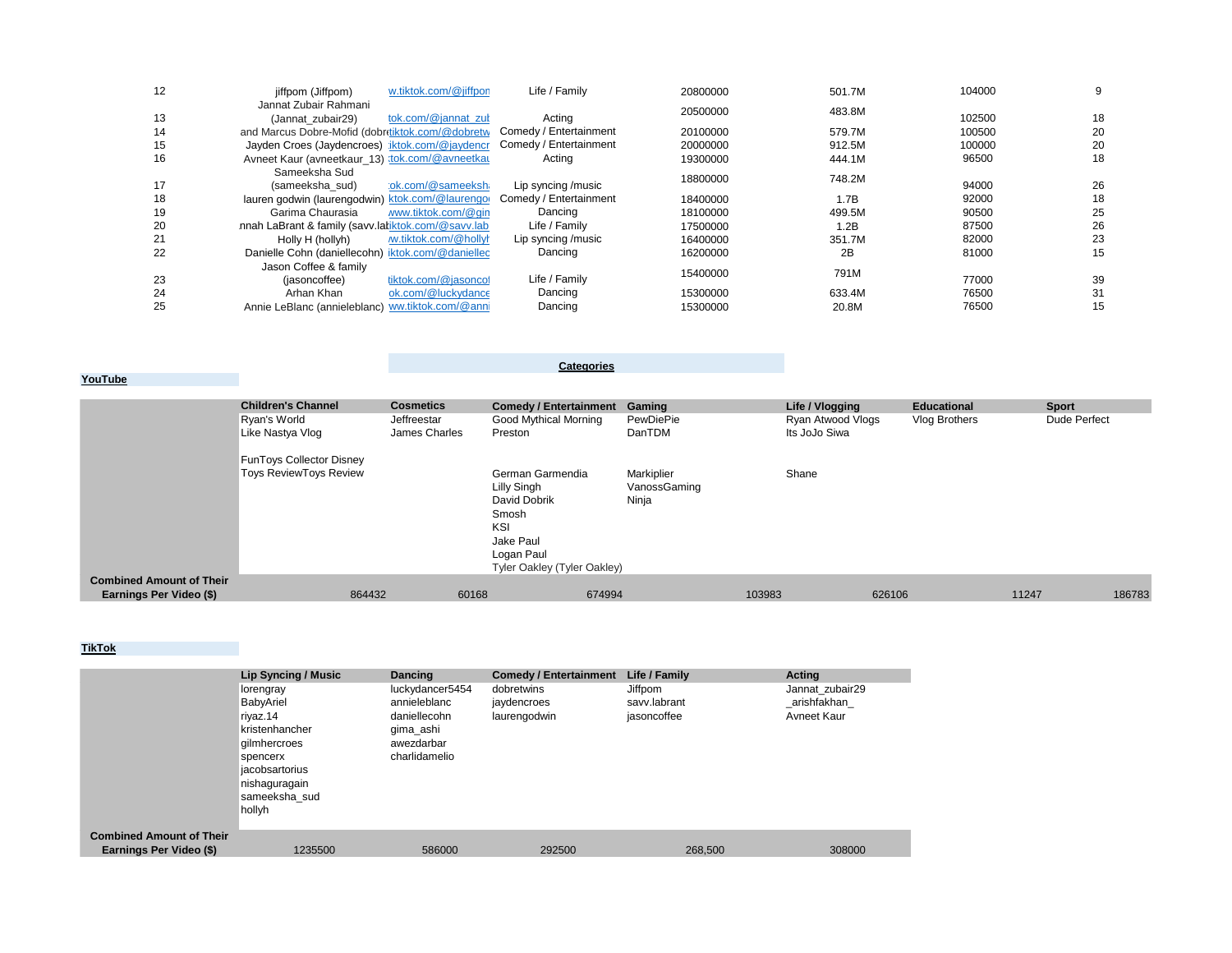| 12 | w.tiktok.com/@jiffpon<br>jiffpom (Jiffpom)         | Life / Family          | 20800000 | 501.7M | 104000 | 9  |
|----|----------------------------------------------------|------------------------|----------|--------|--------|----|
|    | Jannat Zubair Rahmani                              |                        | 20500000 | 483.8M |        |    |
| 13 | tok.com/@jannat_zut<br>(Jannat zubair29)           | Acting                 |          |        | 102500 | 18 |
| 14 | and Marcus Dobre-Mofid (dobritiktok.com/@dobretw   | Comedy / Entertainment | 20100000 | 579.7M | 100500 | 20 |
| 15 | Jayden Croes (Jaydencroes) iktok.com/@jaydencr     | Comedy / Entertainment | 20000000 | 912.5M | 100000 | 20 |
| 16 | Avneet Kaur (avneetkaur_13) :tok.com/@avneetkau    | Actina                 | 19300000 | 444.1M | 96500  | 18 |
|    | Sameeksha Sud                                      |                        | 18800000 | 748.2M |        |    |
| 17 | :ok.com/@sameeksh<br>(sameeksha sud)               | Lip syncing /music     |          |        | 94000  | 26 |
| 18 | lauren godwin (laurengodwin) ktok.com/@laurengo    | Comedy / Entertainment | 18400000 | 1.7B   | 92000  | 18 |
| 19 | Garima Chaurasia<br>www.tiktok.com/@gin            | Dancing                | 18100000 | 499.5M | 90500  | 25 |
| 20 | nnah LaBrant & family (savv.laliktok.com/@savv.lab | Life / Family          | 17500000 | 1.2B   | 87500  | 26 |
| 21 | Holly H (hollyh)<br>w.tiktok.com/@hollyh           | Lip syncing /music     | 16400000 | 351.7M | 82000  | 23 |
| 22 | Danielle Cohn (daniellecohn) iktok.com/@daniellec  | Dancing                | 16200000 | 2B     | 81000  | 15 |
|    | Jason Coffee & family                              |                        |          |        |        |    |
| 23 | tiktok.com/@jasoncol<br>(iasoncoffee)              | Life / Family          | 15400000 | 791M   | 77000  | 39 |
| 24 | ok.com/@luckydance<br>Arhan Khan                   | Dancing                | 15300000 | 633.4M | 76500  | 31 |
| 25 | Annie LeBlanc (annieleblanc) ww.tiktok.com/@anni   | Dancing                | 15300000 | 20.8M  | 76500  | 15 |

**YouTube**

**Categories**

|                                 | <b>Children's Channel</b>       | <b>Cosmetics</b> | Comedy / Entertainment Gaming |              | Life / Vlogging   | <b>Educational</b> | <b>Sport</b> |        |
|---------------------------------|---------------------------------|------------------|-------------------------------|--------------|-------------------|--------------------|--------------|--------|
|                                 | Ryan's World                    | Jeffreestar      | Good Mythical Morning         | PewDiePie    | Ryan Atwood Vlogs | Vlog Brothers      | Dude Perfect |        |
|                                 | Like Nastya Vlog                | James Charles    | Preston                       | DanTDM       | Its JoJo Siwa     |                    |              |        |
|                                 | <b>FunToys Collector Disney</b> |                  |                               |              |                   |                    |              |        |
|                                 | <b>Toys ReviewToys Review</b>   |                  | German Garmendia              | Markiplier   | Shane             |                    |              |        |
|                                 |                                 |                  | Lilly Singh                   | VanossGaming |                   |                    |              |        |
|                                 |                                 |                  | David Dobrik                  | Ninja        |                   |                    |              |        |
|                                 |                                 |                  | Smosh                         |              |                   |                    |              |        |
|                                 |                                 |                  | KSI                           |              |                   |                    |              |        |
|                                 |                                 |                  | Jake Paul                     |              |                   |                    |              |        |
|                                 |                                 |                  | Logan Paul                    |              |                   |                    |              |        |
|                                 |                                 |                  | Tyler Oakley (Tyler Oakley)   |              |                   |                    |              |        |
| <b>Combined Amount of Their</b> |                                 |                  |                               |              |                   |                    |              |        |
| Earnings Per Video (\$)         | 864432                          | 60168            | 674994                        |              | 103983            | 626106             | 11247        | 186783 |

## **TikTok**

|                                 | Lip Syncing / Music | <b>Dancing</b>  | <b>Comedy / Entertainment</b> | Life / Family | Acting          |
|---------------------------------|---------------------|-----------------|-------------------------------|---------------|-----------------|
|                                 | lorengray           | luckydancer5454 | dobretwins                    | Jiffpom       | Jannat zubair29 |
|                                 | BabyAriel           | annieleblanc    | jaydencroes                   | savv.labrant  | arishfakhan     |
|                                 | riyaz.14            | daniellecohn    | laurengodwin                  | jasoncoffee   | Avneet Kaur     |
|                                 | kristenhancher      | gima_ashi       |                               |               |                 |
|                                 | gilmhercroes        | awezdarbar      |                               |               |                 |
|                                 | spencerx            | charlidamelio   |                               |               |                 |
|                                 | jacobsartorius      |                 |                               |               |                 |
|                                 | nishaguragain       |                 |                               |               |                 |
|                                 | sameeksha sud       |                 |                               |               |                 |
|                                 | hollyh              |                 |                               |               |                 |
|                                 |                     |                 |                               |               |                 |
| <b>Combined Amount of Their</b> |                     |                 |                               |               |                 |
| Earnings Per Video (\$)         | 1235500             | 586000          | 292500                        | 268,500       | 308000          |
|                                 |                     |                 |                               |               |                 |